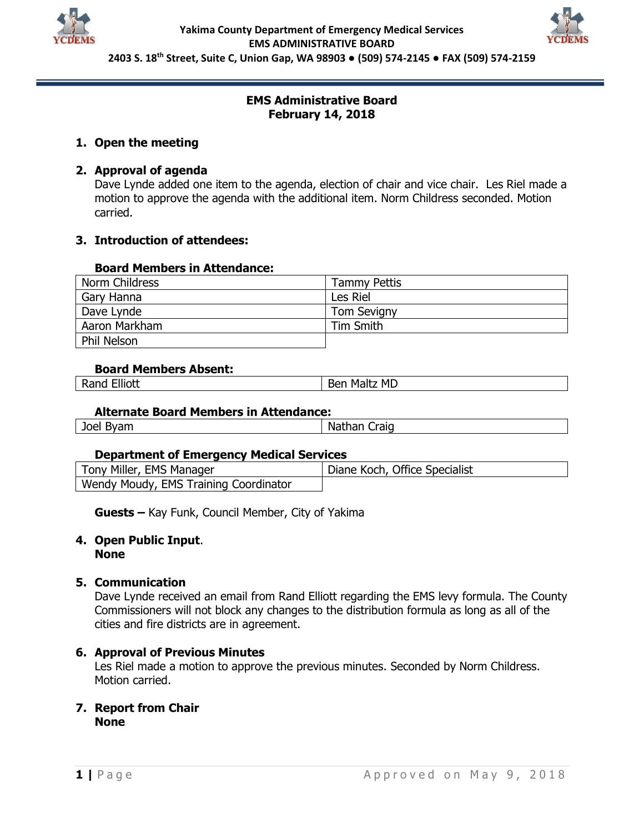



## **EMS Administrative Board February 14, 2018**

# **1. Open the meeting**

# **2. Approval of agenda**

Dave Lynde added one item to the agenda, election of chair and vice chair. Les Riel made a motion to approve the agenda with the additional item. Norm Childress seconded. Motion carried.

# **3. Introduction of attendees:**

## **Board Members in Attendance:**

| Norm Childress | <b>Tammy Pettis</b> |
|----------------|---------------------|
| Gary Hanna     | Les Riel            |
| Dave Lynde     | <b>Tom Sevigny</b>  |
| Aaron Markham  | Tim Smith           |
| Phil Nelson    |                     |

### **Board Members Absent:**

|              | <b>MD</b> |
|--------------|-----------|
| -Iliott      | . Malt    |
| .            | Ber       |
| -kand        | . .       |
| ____________ |           |
|              |           |

### **Alternate Board Members in Attendance:**

| Joel<br>$\sim$<br>יו⊿∨ | Iraid<br>.<br>NAD.<br>lal. |
|------------------------|----------------------------|
|                        |                            |

### **Department of Emergency Medical Services**

| Tony Miller, EMS Manager              | Diane Koch, Office Specialist |
|---------------------------------------|-------------------------------|
| Wendy Moudy, EMS Training Coordinator |                               |

**Guests –** Kay Funk, Council Member, City of Yakima

# **4. Open Public Input**.

**None**

## **5. Communication**

Dave Lynde received an email from Rand Elliott regarding the EMS levy formula. The County Commissioners will not block any changes to the distribution formula as long as all of the cities and fire districts are in agreement.

## **6. Approval of Previous Minutes**

Les Riel made a motion to approve the previous minutes. Seconded by Norm Childress. Motion carried.

### **7. Report from Chair None**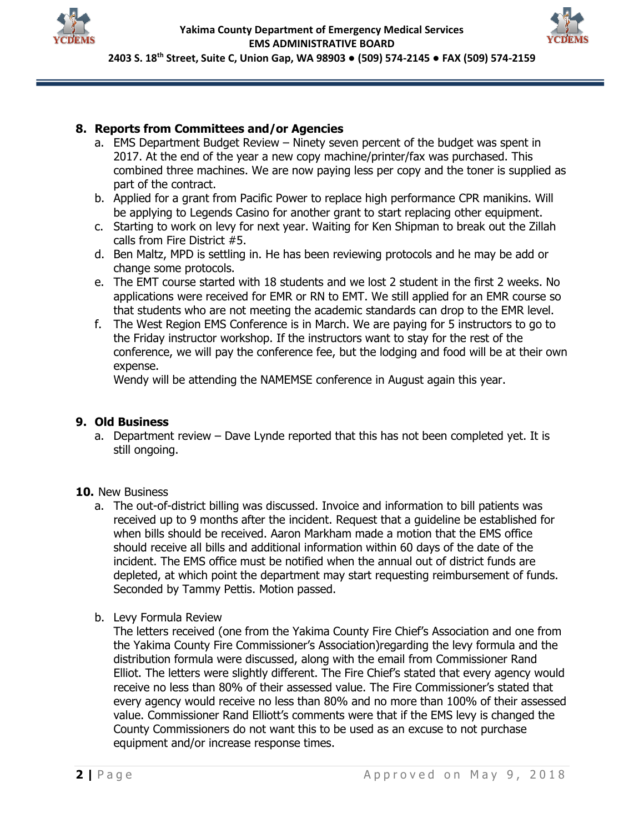



## **8. Reports from Committees and/or Agencies**

- a. EMS Department Budget Review Ninety seven percent of the budget was spent in 2017. At the end of the year a new copy machine/printer/fax was purchased. This combined three machines. We are now paying less per copy and the toner is supplied as part of the contract.
- b. Applied for a grant from Pacific Power to replace high performance CPR manikins. Will be applying to Legends Casino for another grant to start replacing other equipment.
- c. Starting to work on levy for next year. Waiting for Ken Shipman to break out the Zillah calls from Fire District #5.
- d. Ben Maltz, MPD is settling in. He has been reviewing protocols and he may be add or change some protocols.
- e. The EMT course started with 18 students and we lost 2 student in the first 2 weeks. No applications were received for EMR or RN to EMT. We still applied for an EMR course so that students who are not meeting the academic standards can drop to the EMR level.
- f. The West Region EMS Conference is in March. We are paying for 5 instructors to go to the Friday instructor workshop. If the instructors want to stay for the rest of the conference, we will pay the conference fee, but the lodging and food will be at their own expense.

Wendy will be attending the NAMEMSE conference in August again this year.

### **9. Old Business**

a. Department review – Dave Lynde reported that this has not been completed yet. It is still ongoing.

### **10.** New Business

- a. The out-of-district billing was discussed. Invoice and information to bill patients was received up to 9 months after the incident. Request that a guideline be established for when bills should be received. Aaron Markham made a motion that the EMS office should receive all bills and additional information within 60 days of the date of the incident. The EMS office must be notified when the annual out of district funds are depleted, at which point the department may start requesting reimbursement of funds. Seconded by Tammy Pettis. Motion passed.
- b. Levy Formula Review

The letters received (one from the Yakima County Fire Chief's Association and one from the Yakima County Fire Commissioner's Association)regarding the levy formula and the distribution formula were discussed, along with the email from Commissioner Rand Elliot. The letters were slightly different. The Fire Chief's stated that every agency would receive no less than 80% of their assessed value. The Fire Commissioner's stated that every agency would receive no less than 80% and no more than 100% of their assessed value. Commissioner Rand Elliott's comments were that if the EMS levy is changed the County Commissioners do not want this to be used as an excuse to not purchase equipment and/or increase response times.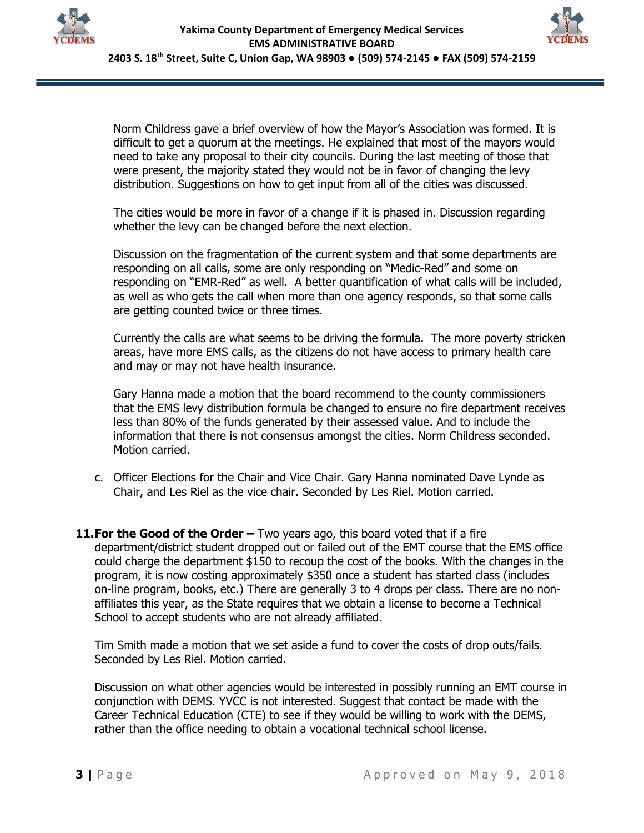



Norm Childress gave a brief overview of how the Mayor's Association was formed. It is difficult to get a quorum at the meetings. He explained that most of the mayors would need to take any proposal to their city councils. During the last meeting of those that were present, the majority stated they would not be in favor of changing the levy distribution. Suggestions on how to get input from all of the cities was discussed.

The cities would be more in favor of a change if it is phased in. Discussion regarding whether the levy can be changed before the next election.

Discussion on the fragmentation of the current system and that some departments are responding on all calls, some are only responding on "Medic-Red" and some on responding on "EMR-Red" as well. A better quantification of what calls will be included, as well as who gets the call when more than one agency responds, so that some calls are getting counted twice or three times.

Currently the calls are what seems to be driving the formula. The more poverty stricken areas, have more EMS calls, as the citizens do not have access to primary health care and may or may not have health insurance.

Gary Hanna made a motion that the board recommend to the county commissioners that the EMS levy distribution formula be changed to ensure no fire department receives less than 80% of the funds generated by their assessed value. And to include the information that there is not consensus amongst the cities. Norm Childress seconded. Motion carried.

- c. Officer Elections for the Chair and Vice Chair. Gary Hanna nominated Dave Lynde as Chair, and Les Riel as the vice chair. Seconded by Les Riel. Motion carried.
- **11.For the Good of the Order –** Two years ago, this board voted that if a fire department/district student dropped out or failed out of the EMT course that the EMS office could charge the department \$150 to recoup the cost of the books. With the changes in the program, it is now costing approximately \$350 once a student has started class (includes on-line program, books, etc.) There are generally 3 to 4 drops per class. There are no nonaffiliates this year, as the State requires that we obtain a license to become a Technical School to accept students who are not already affiliated.

Tim Smith made a motion that we set aside a fund to cover the costs of drop outs/fails. Seconded by Les Riel. Motion carried.

Discussion on what other agencies would be interested in possibly running an EMT course in conjunction with DEMS. YVCC is not interested. Suggest that contact be made with the Career Technical Education (CTE) to see if they would be willing to work with the DEMS, rather than the office needing to obtain a vocational technical school license.